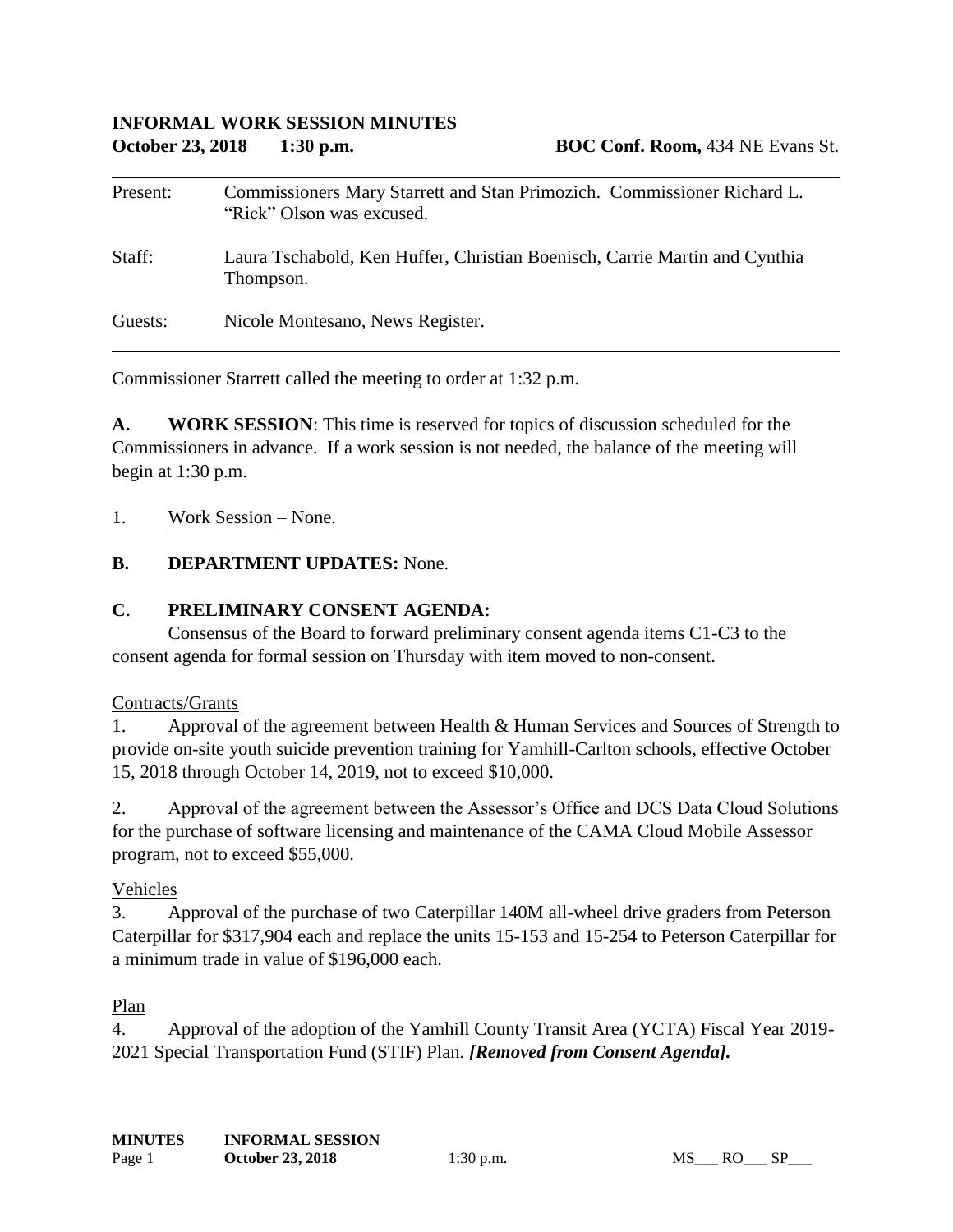| Present: | Commissioners Mary Starrett and Stan Primozich. Commissioner Richard L.<br>"Rick" Olson was excused. |
|----------|------------------------------------------------------------------------------------------------------|
| Staff:   | Laura Tschabold, Ken Huffer, Christian Boenisch, Carrie Martin and Cynthia<br>Thompson.              |
| Guests:  | Nicole Montesano, News Register.                                                                     |

Commissioner Starrett called the meeting to order at 1:32 p.m.

**A. WORK SESSION**: This time is reserved for topics of discussion scheduled for the Commissioners in advance. If a work session is not needed, the balance of the meeting will begin at 1:30 p.m.

1. Work Session – None.

### **B. DEPARTMENT UPDATES:** None.

### **C. PRELIMINARY CONSENT AGENDA:**

Consensus of the Board to forward preliminary consent agenda items C1-C3 to the consent agenda for formal session on Thursday with item moved to non-consent.

#### Contracts/Grants

1. Approval of the agreement between Health & Human Services and Sources of Strength to provide on-site youth suicide prevention training for Yamhill-Carlton schools, effective October 15, 2018 through October 14, 2019, not to exceed \$10,000.

2. Approval of the agreement between the Assessor's Office and DCS Data Cloud Solutions for the purchase of software licensing and maintenance of the CAMA Cloud Mobile Assessor program, not to exceed \$55,000.

#### Vehicles

3. Approval of the purchase of two Caterpillar 140M all-wheel drive graders from Peterson Caterpillar for \$317,904 each and replace the units 15-153 and 15-254 to Peterson Caterpillar for a minimum trade in value of \$196,000 each.

## Plan

4. Approval of the adoption of the Yamhill County Transit Area (YCTA) Fiscal Year 2019- 2021 Special Transportation Fund (STIF) Plan. *[Removed from Consent Agenda].*